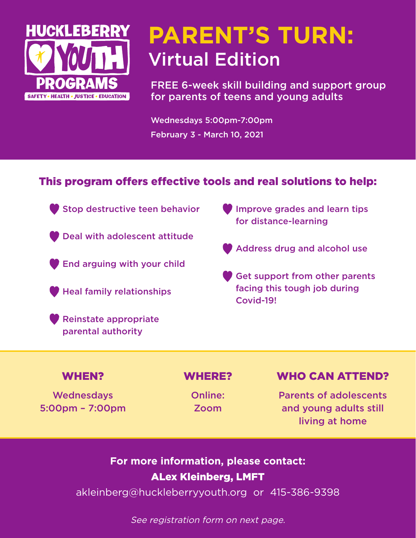

# **PARENT'S TURN:** Virtual Edition

FREE 6-week skill building and support group for parents of teens and young adults

Wednesdays 5:00pm-7:00pm February 3 - March 10, 2021

#### This program offers effective tools and real solutions to help:

- Stop destructive teen behavior
- **Deal with adolescent attitude**
- **End arguing with your child**
- Heal family relationships
- Reinstate appropriate parental authority
- **Improve grades and learn tips** for distance-learning
- Address drug and alcohol use
- Get support from other parents facing this tough job during Covid-19!

**Wednesdays** 5:00pm – 7:00pm

Online: Zoom

#### WHEN? WHERE? WHO CAN ATTEND?

Parents of adolescents and young adults still living at home

### **For more information, please contact:** ALex Kleinberg, LMFT

akleinberg[@huckleberryyouth.org](mailto:hmathews%40huckleberryyouth.org?subject=Yearlong%20Sponsorship) or 415-386-9398

See registration form on next page.